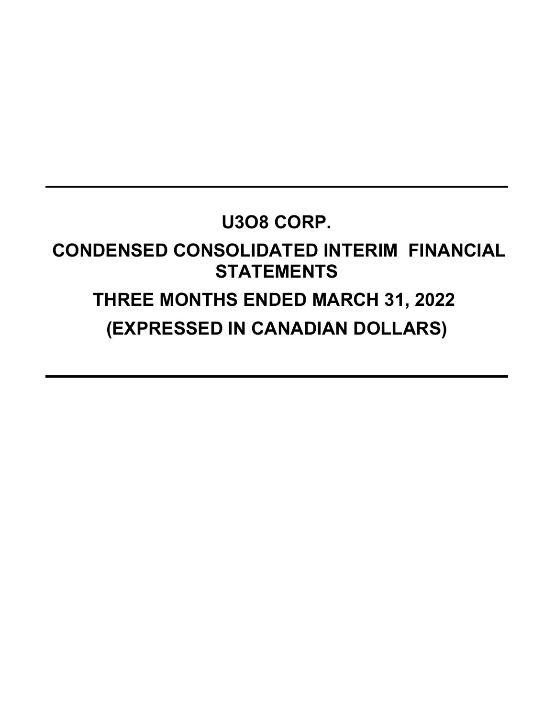## **U3O8 CORP.**

## **CONDENSED CONSOLIDATED INTERIM FINANCIAL STATEMENTS**

# **THREE MONTHS ENDED MARCH 31, 2022 (EXPRESSED IN CANADIAN DOLLARS)**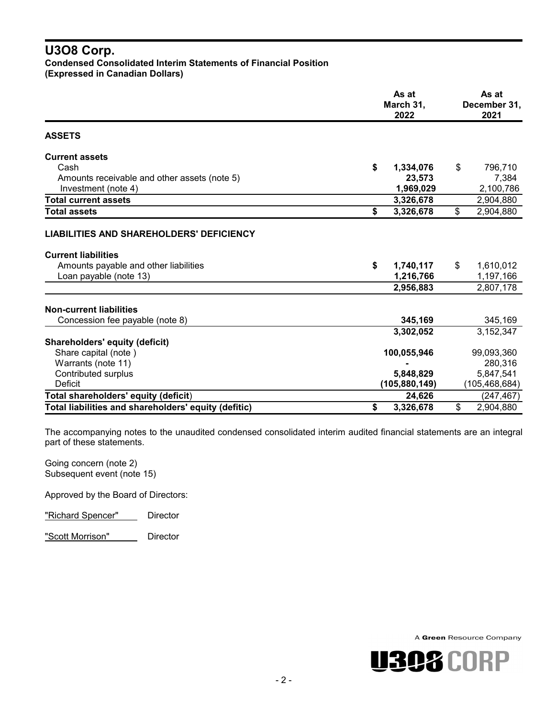### **U3O8 Corp. Condensed Consolidated Interim Statements of Financial Position**

**(Expressed in Canadian Dollars)**

|                                                      | As at<br>March 31,<br>2022 |                 |    | As at<br>December 31,<br>2021 |  |  |
|------------------------------------------------------|----------------------------|-----------------|----|-------------------------------|--|--|
| <b>ASSETS</b>                                        |                            |                 |    |                               |  |  |
| <b>Current assets</b>                                |                            |                 |    |                               |  |  |
| Cash                                                 | \$                         | 1,334,076       | \$ | 796,710                       |  |  |
| Amounts receivable and other assets (note 5)         |                            | 23,573          |    | 7,384                         |  |  |
| Investment (note 4)                                  |                            | 1,969,029       |    | 2,100,786                     |  |  |
| <b>Total current assets</b>                          |                            | 3,326,678       |    | 2,904,880                     |  |  |
| <b>Total assets</b>                                  | \$                         | 3,326,678       | \$ | 2,904,880                     |  |  |
| <b>LIABILITIES AND SHAREHOLDERS' DEFICIENCY</b>      |                            |                 |    |                               |  |  |
| <b>Current liabilities</b>                           |                            |                 |    |                               |  |  |
| Amounts payable and other liabilities                | \$                         | 1,740,117       | \$ | 1,610,012                     |  |  |
| Loan payable (note 13)                               |                            | 1,216,766       |    | 1,197,166                     |  |  |
|                                                      |                            | 2,956,883       |    | 2,807,178                     |  |  |
| <b>Non-current liabilities</b>                       |                            |                 |    |                               |  |  |
| Concession fee payable (note 8)                      |                            | 345,169         |    | 345,169                       |  |  |
|                                                      |                            | 3,302,052       |    | 3,152,347                     |  |  |
| <b>Shareholders' equity (deficit)</b>                |                            |                 |    |                               |  |  |
| Share capital (note)                                 |                            | 100,055,946     |    | 99,093,360                    |  |  |
| Warrants (note 11)                                   |                            |                 |    | 280,316                       |  |  |
| Contributed surplus                                  |                            | 5,848,829       |    | 5,847,541                     |  |  |
| Deficit                                              |                            | (105, 880, 149) |    | (105,468,684)                 |  |  |
| Total shareholders' equity (deficit)                 |                            | 24,626          |    | (247,467)                     |  |  |
| Total liabilities and shareholders' equity (defitic) | \$                         | 3,326,678       | \$ | 2,904,880                     |  |  |

The accompanying notes to the unaudited condensed consolidated interim audited financial statements are an integral part of these statements.

Going concern (note 2) Subsequent event (note 15)

Approved by the Board of Directors:

"Richard Spencer" Director

"Scott Morrison" Director

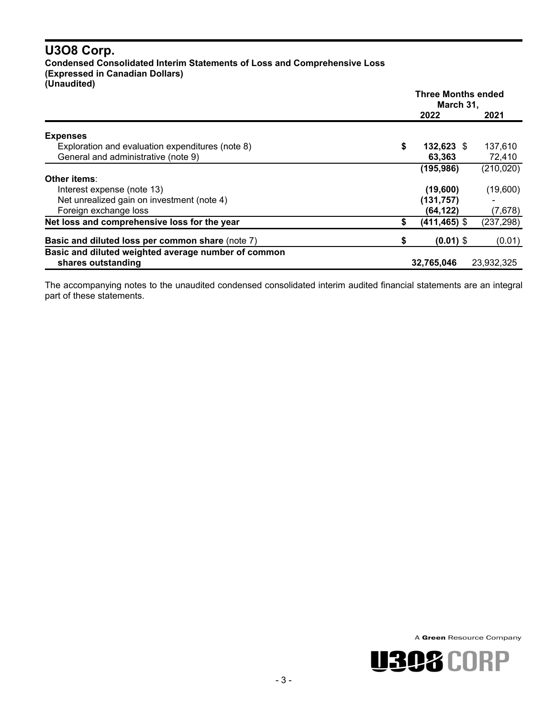#### **U3O8 Corp. Condensed Consolidated Interim Statements of Loss and Comprehensive Loss (Expressed in Canadian Dollars) (Unaudited)**

|                                                         | <b>Three Months ended</b><br>March 31, |                 |            |
|---------------------------------------------------------|----------------------------------------|-----------------|------------|
|                                                         |                                        | 2022            | 2021       |
| <b>Expenses</b>                                         |                                        |                 |            |
| Exploration and evaluation expenditures (note 8)        | \$                                     | 132,623 \$      | 137,610    |
| General and administrative (note 9)                     |                                        | 63,363          | 72,410     |
|                                                         |                                        | (195, 986)      | (210, 020) |
| Other items:                                            |                                        |                 |            |
| Interest expense (note 13)                              |                                        | (19,600)        | (19,600)   |
| Net unrealized gain on investment (note 4)              |                                        | (131, 757)      |            |
| Foreign exchange loss                                   |                                        | (64, 122)       | (7,678)    |
| Net loss and comprehensive loss for the year            | S                                      | $(411, 465)$ \$ | (237, 298) |
| <b>Basic and diluted loss per common share (note 7)</b> | \$                                     | $(0.01)$ \$     | (0.01)     |
| Basic and diluted weighted average number of common     |                                        |                 |            |
| shares outstanding                                      |                                        | 32,765,046      | 23,932,325 |

The accompanying notes to the unaudited condensed consolidated interim audited financial statements are an integral part of these statements.

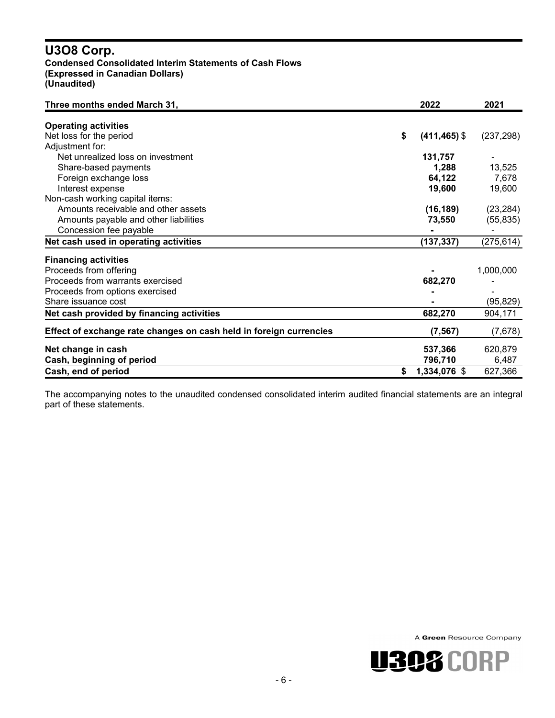#### **U3O8 Corp. Condensed Consolidated Interim Statements of Cash Flows (Expressed in Canadian Dollars) (Unaudited)**

| Three months ended March 31,                                       | 2022                  | 2021       |
|--------------------------------------------------------------------|-----------------------|------------|
| <b>Operating activities</b>                                        |                       |            |
| Net loss for the period                                            | \$<br>$(411, 465)$ \$ | (237, 298) |
| Adjustment for:                                                    |                       |            |
| Net unrealized loss on investment                                  | 131,757               |            |
| Share-based payments                                               | 1,288                 | 13,525     |
| Foreign exchange loss                                              | 64,122                | 7,678      |
| Interest expense                                                   | 19,600                | 19,600     |
| Non-cash working capital items:                                    |                       |            |
| Amounts receivable and other assets                                | (16, 189)             | (23, 284)  |
| Amounts payable and other liabilities                              | 73,550                | (55, 835)  |
| Concession fee payable                                             |                       |            |
| Net cash used in operating activities                              | (137, 337)            | (275, 614) |
| <b>Financing activities</b>                                        |                       |            |
| Proceeds from offering                                             |                       | 1,000,000  |
| Proceeds from warrants exercised                                   | 682,270               |            |
| Proceeds from options exercised                                    |                       |            |
| Share issuance cost                                                |                       | (95, 829)  |
| Net cash provided by financing activities                          | 682,270               | 904,171    |
| Effect of exchange rate changes on cash held in foreign currencies | (7, 567)              | (7,678)    |
| Net change in cash                                                 | 537,366               | 620,879    |
| Cash, beginning of period                                          | 796,710               | 6,487      |
| Cash, end of period                                                | \$<br>1,334,076 \$    | 627,366    |

The accompanying notes to the unaudited condensed consolidated interim audited financial statements are an integral part of these statements.



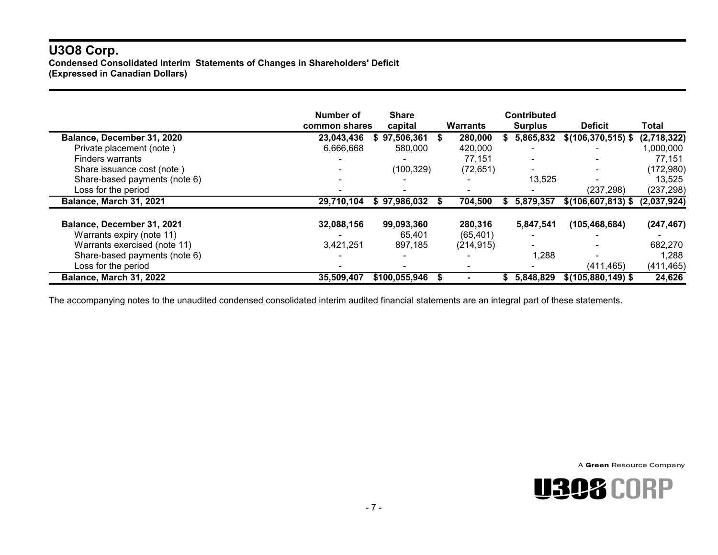#### **U3O8 Corp. Condensed Consolidated Interim Statements of Changes in Shareholders' Deficit (Expressed in Canadian Dollars)**

|                                | Number of<br>common shares | <b>Share</b><br>capital | Warrants   |    | <b>Contributed</b><br><b>Surplus</b> | <b>Deficit</b>        | Total       |
|--------------------------------|----------------------------|-------------------------|------------|----|--------------------------------------|-----------------------|-------------|
| Balance, December 31, 2020     | 23,043,436                 | 97,506,361              | 280,000    |    | 5,865,832                            | $$(106, 370, 515)$ \$ | (2,718,322) |
| Private placement (note)       | 6,666,668                  | 580,000                 | 420,000    |    |                                      |                       | 1,000,000   |
| <b>Finders warrants</b>        |                            |                         | 77,151     |    |                                      |                       | 77,151      |
| Share issuance cost (note)     |                            | (100, 329)              | (72, 651)  |    | $\sim$                               |                       | (172,980)   |
| Share-based payments (note 6)  |                            |                         |            |    | 13,525                               |                       | 13,525      |
| Loss for the period            |                            |                         |            |    |                                      | (237, 298)            | (237, 298)  |
| Balance, March 31, 2021        | 29,710,104                 | \$97,986,032            | 704,500    | Ъ  | 5,879,357                            | $$(106, 607, 813)$ \$ | (2,037,924) |
| Balance, December 31, 2021     | 32,088,156                 | 99,093,360              | 280,316    |    | 5,847,541                            | (105, 468, 684)       | (247, 467)  |
| Warrants expiry (note 11)      |                            | 65,401                  | (65, 401)  |    |                                      |                       |             |
| Warrants exercised (note 11)   | 3,421,251                  | 897,185                 | (214, 915) |    |                                      |                       | 682,270     |
| Share-based payments (note 6)  |                            |                         |            |    | 1,288                                |                       | 1,288       |
| Loss for the period            |                            |                         |            |    |                                      | (411, 465)            | (411, 465)  |
| <b>Balance, March 31, 2022</b> | 35,509,407                 | \$100,055,946           |            | S. | 5,848,829                            | $$(105,880,149)$ \$   | 24,626      |

The accompanying notes to the unaudited condensed consolidated interim audited financial statements are an integral part of these statements.

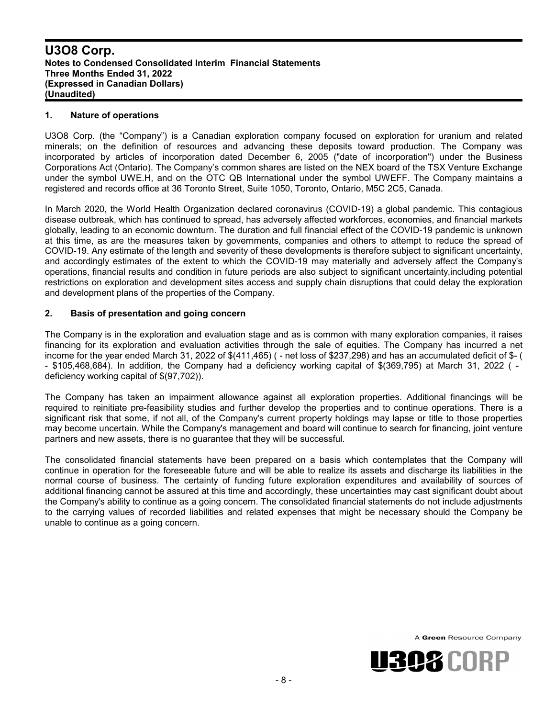#### **1. Nature of operations**

U3O8 Corp. (the "Company") is a Canadian exploration company focused on exploration for uranium and related minerals; on the definition of resources and advancing these deposits toward production. The Company was incorporated by articles of incorporation dated December 6, 2005 ("date of incorporation") under the Business Corporations Act (Ontario). The Company's common shares are listed on the NEX board of the TSX Venture Exchange under the symbol UWE.H, and on the OTC QB International under the symbol UWEFF. The Company maintains a registered and records office at 36 Toronto Street, Suite 1050, Toronto, Ontario, M5C 2C5, Canada.

In March 2020, the World Health Organization declared coronavirus (COVID-19) a global pandemic. This contagious disease outbreak, which has continued to spread, has adversely affected workforces, economies, and financial markets globally, leading to an economic downturn. The duration and full financial effect of the COVID-19 pandemic is unknown at this time, as are the measures taken by governments, companies and others to attempt to reduce the spread of COVID-19. Any estimate of the length and severity of these developments is therefore subject to significant uncertainty, and accordingly estimates of the extent to which the COVID-19 may materially and adversely affect the Company's operations, financial results and condition in future periods are also subject to significant uncertainty,including potential restrictions on exploration and development sites access and supply chain disruptions that could delay the exploration and development plans of the properties of the Company.

#### **2. Basis of presentation and going concern**

The Company is in the exploration and evaluation stage and as is common with many exploration companies, it raises financing for its exploration and evaluation activities through the sale of equities. The Company has incurred a net income for the year ended March 31, 2022 of \$(411,465) ( - net loss of \$237,298) and has an accumulated deficit of \$- ( - \$105,468,684). In addition, the Company had a deficiency working capital of \$(369,795) at March 31, 2022 ( deficiency working capital of \$(97,702)).

The Company has taken an impairment allowance against all exploration properties. Additional financings will be required to reinitiate pre-feasibility studies and further develop the properties and to continue operations. There is a significant risk that some, if not all, of the Company's current property holdings may lapse or title to those properties may become uncertain. While the Company's management and board will continue to search for financing, joint venture partners and new assets, there is no guarantee that they will be successful.

The consolidated financial statements have been prepared on a basis which contemplates that the Company will continue in operation for the foreseeable future and will be able to realize its assets and discharge its liabilities in the normal course of business. The certainty of funding future exploration expenditures and availability of sources of additional financing cannot be assured at this time and accordingly, these uncertainties may cast significant doubt about the Company's ability to continue as a going concern. The consolidated financial statements do not include adjustments to the carrying values of recorded liabilities and related expenses that might be necessary should the Company be unable to continue as a going concern.

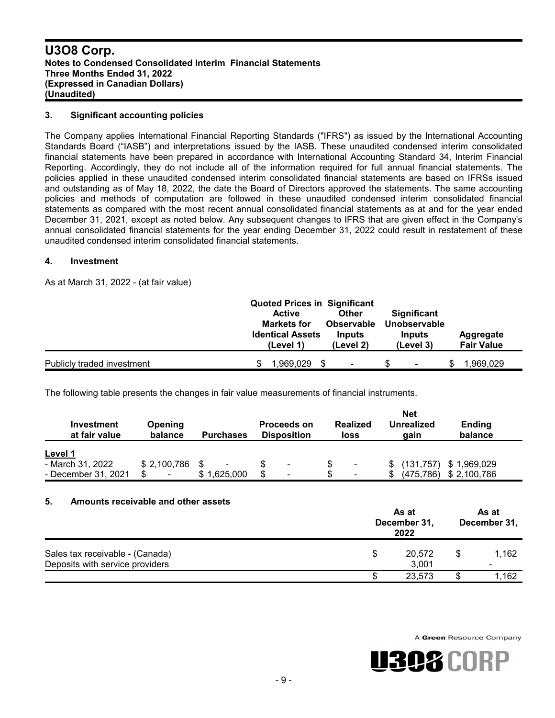#### **3. Significant accounting policies**

The Company applies International Financial Reporting Standards ("IFRS") as issued by the International Accounting Standards Board ("IASB") and interpretations issued by the IASB. These unaudited condensed interim consolidated financial statements have been prepared in accordance with International Accounting Standard 34, Interim Financial Reporting. Accordingly, they do not include all of the information required for full annual financial statements. The policies applied in these unaudited condensed interim consolidated financial statements are based on IFRSs issued and outstanding as of May 18, 2022, the date the Board of Directors approved the statements. The same accounting policies and methods of computation are followed in these unaudited condensed interim consolidated financial statements as compared with the most recent annual consolidated financial statements as at and for the year ended December 31, 2021, except as noted below. Any subsequent changes to IFRS that are given effect in the Company's annual consolidated financial statements for the year ending December 31, 2022 could result in restatement of these unaudited condensed interim consolidated financial statements.

#### **4. Investment**

As at March 31, 2022 - (at fair value)

|                            | <b>Active</b><br><b>Markets for</b><br><b>Identical Assets</b><br>(Level 1) | <b>Quoted Prices in Significant</b><br>Other<br><b>Observable</b><br>Inputs<br>(Level 2) | <b>Significant</b><br>Unobservable<br>Inputs<br>(Level 3) | Aggregate<br><b>Fair Value</b> |
|----------------------------|-----------------------------------------------------------------------------|------------------------------------------------------------------------------------------|-----------------------------------------------------------|--------------------------------|
| Publicly traded investment | 1.969.029                                                                   |                                                                                          | ۰                                                         | 1.969.029                      |

The following table presents the changes in fair value measurements of financial instruments.

|                             | <b>Net</b>               |                  |                                          |  |                         |     |                           |                          |
|-----------------------------|--------------------------|------------------|------------------------------------------|--|-------------------------|-----|---------------------------|--------------------------|
| Investment<br>at fair value | Opening<br>balance       | <b>Purchases</b> | <b>Proceeds on</b><br><b>Disposition</b> |  | <b>Realized</b><br>loss |     | <b>Unrealized</b><br>gain | <b>Ending</b><br>balance |
| Level 1                     |                          |                  |                                          |  |                         |     |                           |                          |
| - March 31, 2022            | \$2,100,786              | $\blacksquare$   | $\blacksquare$                           |  | $\blacksquare$          |     | (131, 757)                | \$1,969,029              |
| - December 31, 2021         | $\overline{\phantom{0}}$ | 1,625,000        | \$<br>۰                                  |  | ۰                       | \$. | (475, 786)                | \$2,100,786              |

#### **5. Amounts receivable and other assets**

|                                                                    |   | As at<br>December 31,<br>2022 |  |       |
|--------------------------------------------------------------------|---|-------------------------------|--|-------|
| Sales tax receivable - (Canada)<br>Deposits with service providers | S | 20,572<br>3,001               |  | 1.162 |
|                                                                    |   | 23,573                        |  | 1.162 |

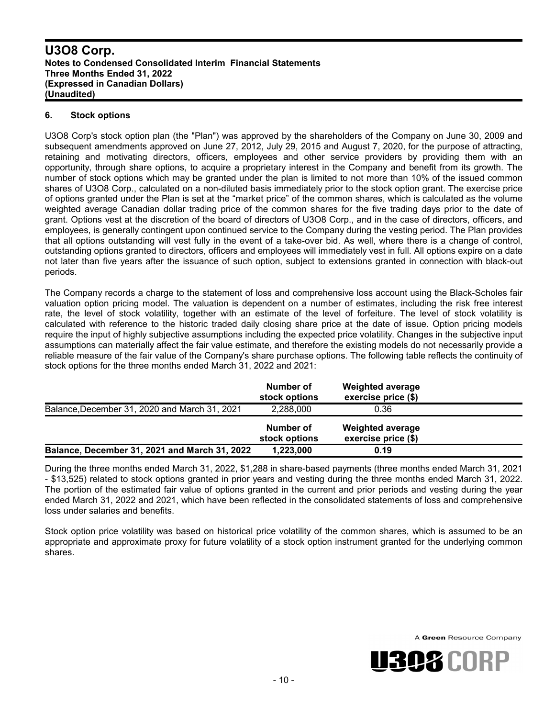#### **6. Stock options**

U3O8 Corp's stock option plan (the "Plan") was approved by the shareholders of the Company on June 30, 2009 and subsequent amendments approved on June 27, 2012, July 29, 2015 and August 7, 2020, for the purpose of attracting, retaining and motivating directors, officers, employees and other service providers by providing them with an opportunity, through share options, to acquire a proprietary interest in the Company and benefit from its growth. The number of stock options which may be granted under the plan is limited to not more than 10% of the issued common shares of U3O8 Corp., calculated on a non-diluted basis immediately prior to the stock option grant. The exercise price of options granted under the Plan is set at the "market price" of the common shares, which is calculated as the volume weighted average Canadian dollar trading price of the common shares for the five trading days prior to the date of grant. Options vest at the discretion of the board of directors of U3O8 Corp., and in the case of directors, officers, and employees, is generally contingent upon continued service to the Company during the vesting period. The Plan provides that all options outstanding will vest fully in the event of a take-over bid. As well, where there is a change of control, outstanding options granted to directors, officers and employees will immediately vest in full. All options expire on a date not later than five years after the issuance of such option, subject to extensions granted in connection with black-out periods.

The Company records a charge to the statement of loss and comprehensive loss account using the Black-Scholes fair valuation option pricing model. The valuation is dependent on a number of estimates, including the risk free interest rate, the level of stock volatility, together with an estimate of the level of forfeiture. The level of stock volatility is calculated with reference to the historic traded daily closing share price at the date of issue. Option pricing models require the input of highly subjective assumptions including the expected price volatility. Changes in the subjective input assumptions can materially affect the fair value estimate, and therefore the existing models do not necessarily provide a reliable measure of the fair value of the Company's share purchase options. The following table reflects the continuity of stock options for the three months ended March 31, 2022 and 2021:

|                                               | Number of<br>stock options | <b>Weighted average</b><br>exercise price (\$) |  |
|-----------------------------------------------|----------------------------|------------------------------------------------|--|
| Balance, December 31, 2020 and March 31, 2021 | 2.288.000                  | 0.36                                           |  |
|                                               | Number of<br>stock options | <b>Weighted average</b><br>exercise price (\$) |  |
| Balance, December 31, 2021 and March 31, 2022 | 1,223,000                  | 0.19                                           |  |

During the three months ended March 31, 2022, \$1,288 in share-based payments (three months ended March 31, 2021 - \$13,525) related to stock options granted in prior years and vesting during the three months ended March 31, 2022. The portion of the estimated fair value of options granted in the current and prior periods and vesting during the year ended March 31, 2022 and 2021, which have been reflected in the consolidated statements of loss and comprehensive loss under salaries and benefits.

Stock option price volatility was based on historical price volatility of the common shares, which is assumed to be an appropriate and approximate proxy for future volatility of a stock option instrument granted for the underlying common shares.

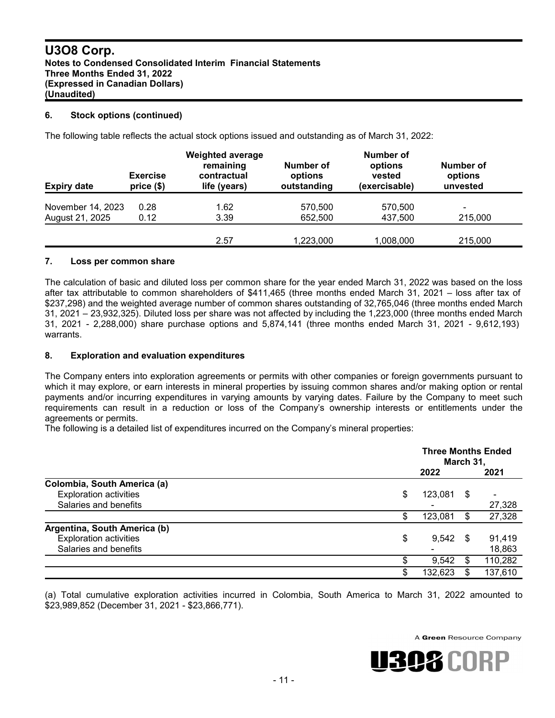#### **6. Stock options (continued)**

The following table reflects the actual stock options issued and outstanding as of March 31, 2022:

| <b>Expiry date</b> | <b>Exercise</b><br>price(\$) | <b>Weighted average</b><br>remaining<br>contractual<br>life (years) | Number of<br>options<br>outstanding | <b>Number of</b><br>options<br>vested<br>(exercisable) | Number of<br>options<br>unvested |
|--------------------|------------------------------|---------------------------------------------------------------------|-------------------------------------|--------------------------------------------------------|----------------------------------|
| November 14, 2023  | 0.28                         | 1.62                                                                | 570,500                             | 570.500                                                | $\blacksquare$                   |
| August 21, 2025    | 0.12                         | 3.39                                                                | 652,500                             | 437,500                                                | 215,000                          |
|                    |                              | 2.57                                                                | 1,223,000                           | 1,008,000                                              | 215,000                          |

#### **7. Loss per common share**

The calculation of basic and diluted loss per common share for the year ended March 31, 2022 was based on the loss after tax attributable to common shareholders of \$411,465 (three months ended March 31, 2021 – loss after tax of \$237,298) and the weighted average number of common shares outstanding of 32,765,046 (three months ended March 31, 2021 – 23,932,325). Diluted loss per share was not affected by including the 1,223,000 (three months ended March 31, 2021 - 2,288,000) share purchase options and 5,874,141 (three months ended March 31, 2021 - 9,612,193) warrants.

#### **8. Exploration and evaluation expenditures**

The Company enters into exploration agreements or permits with other companies or foreign governments pursuant to which it may explore, or earn interests in mineral properties by issuing common shares and/or making option or rental payments and/or incurring expenditures in varying amounts by varying dates. Failure by the Company to meet such requirements can result in a reduction or loss of the Company's ownership interests or entitlements under the agreements or permits.

The following is a detailed list of expenditures incurred on the Company's mineral properties:

|                               |    | <b>Three Months Ended</b><br>March 31, |      |         |
|-------------------------------|----|----------------------------------------|------|---------|
|                               |    | 2022                                   |      | 2021    |
| Colombia, South America (a)   |    |                                        |      |         |
| <b>Exploration activities</b> | \$ | 123,081                                | \$   |         |
| Salaries and benefits         |    |                                        |      | 27,328  |
|                               |    | 123,081                                | S    | 27,328  |
| Argentina, South America (b)  |    |                                        |      |         |
| <b>Exploration activities</b> | \$ | 9,542                                  | - \$ | 91,419  |
| Salaries and benefits         |    |                                        |      | 18,863  |
|                               |    | 9,542                                  | \$.  | 110,282 |
|                               | S  | 132,623                                | S    | 137,610 |

(a) Total cumulative exploration activities incurred in Colombia, South America to March 31, 2022 amounted to \$23,989,852 (December 31, 2021 - \$23,866,771).

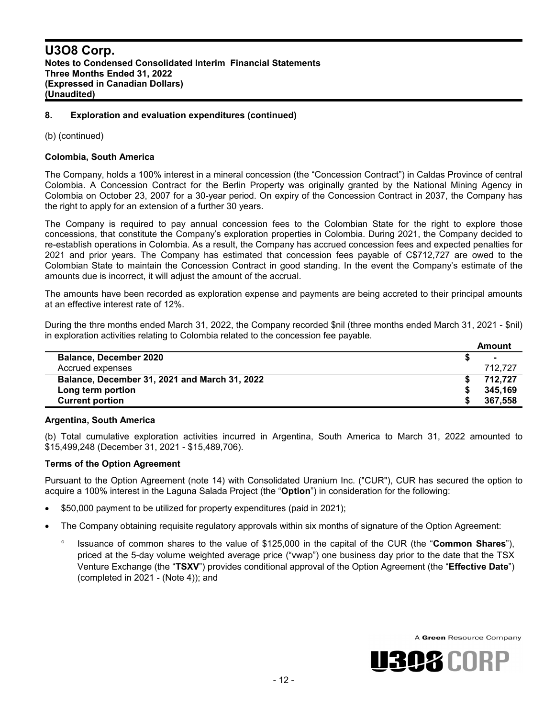#### **8. Exploration and evaluation expenditures (continued)**

(b) (continued)

#### **Colombia, South America**

The Company, holds a 100% interest in a mineral concession (the "Concession Contract") in Caldas Province of central Colombia. A Concession Contract for the Berlin Property was originally granted by the National Mining Agency in Colombia on October 23, 2007 for a 30-year period. On expiry of the Concession Contract in 2037, the Company has the right to apply for an extension of a further 30 years.

The Company is required to pay annual concession fees to the Colombian State for the right to explore those concessions, that constitute the Company's exploration properties in Colombia. During 2021, the Company decided to re-establish operations in Colombia. As a result, the Company has accrued concession fees and expected penalties for 2021 and prior years. The Company has estimated that concession fees payable of C\$712,727 are owed to the Colombian State to maintain the Concession Contract in good standing. In the event the Company's estimate of the amounts due is incorrect, it will adjust the amount of the accrual.

The amounts have been recorded as exploration expense and payments are being accreted to their principal amounts at an effective interest rate of 12%.

During the thre months ended March 31, 2022, the Company recorded \$nil (three months ended March 31, 2021 - \$nil) in exploration activities relating to Colombia related to the concession fee payable.

|                                               | Amount  |
|-----------------------------------------------|---------|
| <b>Balance, December 2020</b>                 | ж.      |
| Accrued expenses                              | 712.727 |
| Balance, December 31, 2021 and March 31, 2022 | 712.727 |
| Long term portion                             | 345.169 |
| <b>Current portion</b>                        | 367,558 |

#### **Argentina, South America**

(b) Total cumulative exploration activities incurred in Argentina, South America to March 31, 2022 amounted to \$15,499,248 (December 31, 2021 - \$15,489,706).

#### **Terms of the Option Agreement**

Pursuant to the Option Agreement (note 14) with Consolidated Uranium Inc. ("CUR"), CUR has secured the option to acquire a 100% interest in the Laguna Salada Project (the "**Option**") in consideration for the following:

- \$50,000 payment to be utilized for property expenditures (paid in 2021);
- The Company obtaining requisite regulatory approvals within six months of signature of the Option Agreement:
	- <sup>o</sup> Issuance of common shares to the value of \$125,000 in the capital of the CUR (the "Common Shares"), priced at the 5-day volume weighted average price ("vwap") one business day prior to the date that the TSX Venture Exchange (the "**TSXV**") provides conditional approval of the Option Agreement (the "**Effective Date**") (completed in 2021 - (Note 4)); and

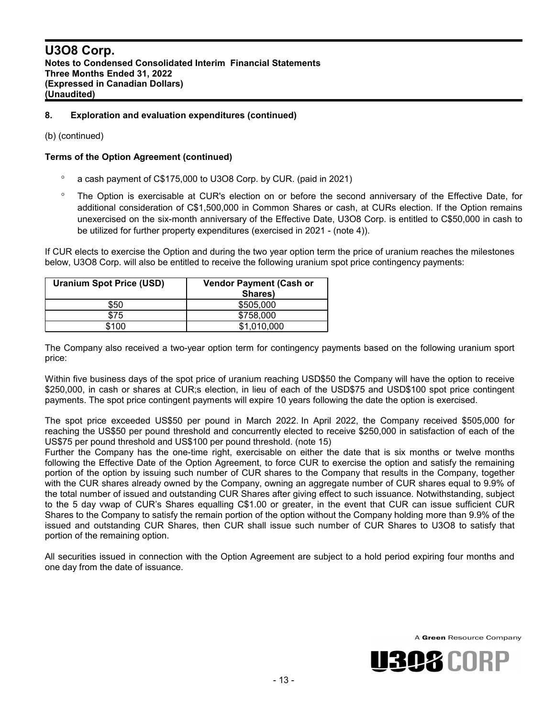#### **8. Exploration and evaluation expenditures (continued)**

(b) (continued)

#### **Terms of the Option Agreement (continued)**

- a cash payment of C\$175,000 to U3O8 Corp. by CUR. (paid in 2021)
- The Option is exercisable at CUR's election on or before the second anniversary of the Effective Date, for additional consideration of C\$1,500,000 in Common Shares or cash, at CURs election. If the Option remains unexercised on the six-month anniversary of the Effective Date, U3O8 Corp. is entitled to C\$50,000 in cash to be utilized for further property expenditures (exercised in 2021 - (note 4)).

If CUR elects to exercise the Option and during the two year option term the price of uranium reaches the milestones below, U3O8 Corp. will also be entitled to receive the following uranium spot price contingency payments:

| <b>Uranium Spot Price (USD)</b> | <b>Vendor Payment (Cash or</b><br>Shares) |
|---------------------------------|-------------------------------------------|
| \$50                            | \$505,000                                 |
|                                 | \$758,000                                 |
| \$100                           | \$1,010,000                               |

The Company also received a two-year option term for contingency payments based on the following uranium sport price:

Within five business days of the spot price of uranium reaching USD\$50 the Company will have the option to receive \$250,000, in cash or shares at CUR;s election, in lieu of each of the USD\$75 and USD\$100 spot price contingent payments. The spot price contingent payments will expire 10 years following the date the option is exercised.

The spot price exceeded US\$50 per pound in March 2022. In April 2022, the Company received \$505,000 for reaching the US\$50 per pound threshold and concurrently elected to receive \$250,000 in satisfaction of each of the US\$75 per pound threshold and US\$100 per pound threshold. (note 15)

Further the Company has the one-time right, exercisable on either the date that is six months or twelve months following the Effective Date of the Option Agreement, to force CUR to exercise the option and satisfy the remaining portion of the option by issuing such number of CUR shares to the Company that results in the Company, together with the CUR shares already owned by the Company, owning an aggregate number of CUR shares equal to 9.9% of the total number of issued and outstanding CUR Shares after giving effect to such issuance. Notwithstanding, subject to the 5 day vwap of CUR's Shares equalling C\$1.00 or greater, in the event that CUR can issue sufficient CUR Shares to the Company to satisfy the remain portion of the option without the Company holding more than 9.9% of the issued and outstanding CUR Shares, then CUR shall issue such number of CUR Shares to U3O8 to satisfy that portion of the remaining option.

All securities issued in connection with the Option Agreement are subject to a hold period expiring four months and one day from the date of issuance.

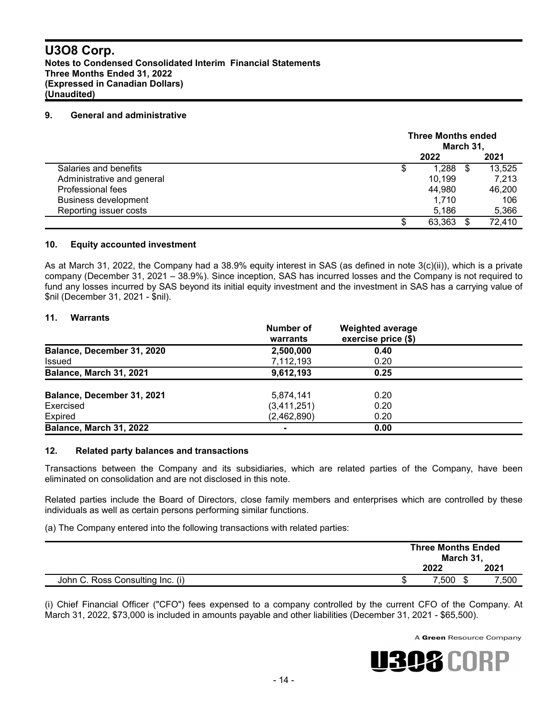#### **9. General and administrative**

|                             | <b>Three Months ended</b><br>March 31, |        |     |        |
|-----------------------------|----------------------------------------|--------|-----|--------|
|                             |                                        | 2022   |     | 2021   |
| Salaries and benefits       | \$                                     | 1.288  | -\$ | 13,525 |
| Administrative and general  |                                        | 10,199 |     | 7,213  |
| Professional fees           |                                        | 44,980 |     | 46,200 |
| <b>Business development</b> |                                        | 1.710  |     | 106    |
| Reporting issuer costs      |                                        | 5.186  |     | 5,366  |
|                             | \$                                     | 63,363 |     | 72,410 |

#### **10. Equity accounted investment**

As at March 31, 2022, the Company had a 38.9% equity interest in SAS (as defined in note  $3(c)(ii)$ ), which is a private company (December 31, 2021 – 38.9%). Since inception, SAS has incurred losses and the Company is not required to fund any losses incurred by SAS beyond its initial equity investment and the investment in SAS has a carrying value of \$nil (December 31, 2021 - \$nil).

#### **11. Warrants**

|                                | Number of<br>warrants | <b>Weighted average</b><br>exercise price (\$) |  |
|--------------------------------|-----------------------|------------------------------------------------|--|
| Balance, December 31, 2020     | 2,500,000             | 0.40                                           |  |
| <b>Issued</b>                  | 7,112,193             | 0.20                                           |  |
| Balance, March 31, 2021        | 9,612,193             | 0.25                                           |  |
| Balance, December 31, 2021     | 5,874,141             | 0.20                                           |  |
| Exercised                      | (3,411,251)           | 0.20                                           |  |
| Expired                        | (2,462,890)           | 0.20                                           |  |
| <b>Balance, March 31, 2022</b> |                       | 0.00                                           |  |

#### **12. Related party balances and transactions**

Transactions between the Company and its subsidiaries, which are related parties of the Company, have been eliminated on consolidation and are not disclosed in this note.

Related parties include the Board of Directors, close family members and enterprises which are controlled by these individuals as well as certain persons performing similar functions.

(a) The Company entered into the following transactions with related parties:

|                                  | <b>Three Months Ended</b><br>March 31, |     |       |
|----------------------------------|----------------------------------------|-----|-------|
|                                  | 2022                                   |     | 2021  |
| John C. Ross Consulting Inc. (i) | 7,500                                  | \$. | 7,500 |

(i) Chief Financial Officer ("CFO") fees expensed to a company controlled by the current CFO of the Company. At March 31, 2022, \$73,000 is included in amounts payable and other liabilities (December 31, 2021 - \$65,500).

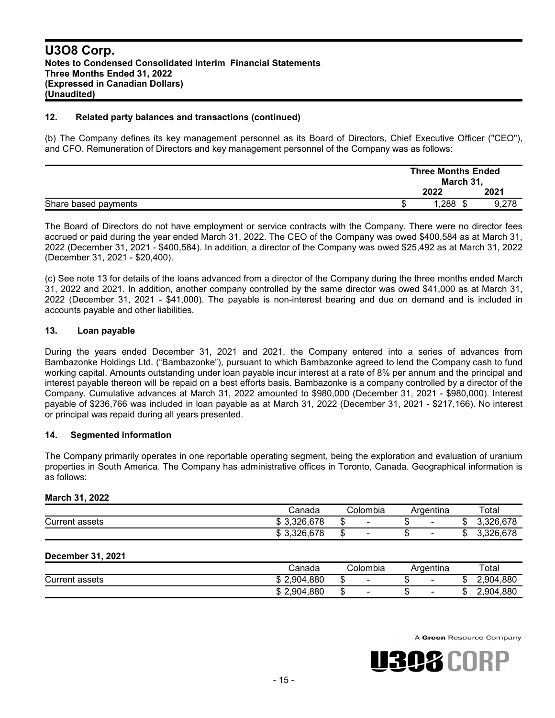#### **12. Related party balances and transactions (continued)**

(b) The Company defines its key management personnel as its Board of Directors, Chief Executive Officer ("CEO"), and CFO. Remuneration of Directors and key management personnel of the Company was as follows:

|                      |  | <b>Three Months Ended</b><br>March 31,<br>2021<br>2022 |  |  |
|----------------------|--|--------------------------------------------------------|--|--|
|                      |  |                                                        |  |  |
| Share based payments |  | 1,288                                                  |  |  |

The Board of Directors do not have employment or service contracts with the Company. There were no director fees accrued or paid during the year ended March 31, 2022. The CEO of the Company was owed \$400,584 as at March 31, 2022 (December 31, 2021 - \$400,584). In addition, a director of the Company was owed \$25,492 as at March 31, 2022 (December 31, 2021 - \$20,400).

(c) See note 13 for details of the loans advanced from a director of the Company during the three months ended March 31, 2022 and 2021. In addition, another company controlled by the same director was owed \$41,000 as at March 31, 2022 (December 31, 2021 - \$41,000). The payable is non-interest bearing and due on demand and is included in accounts payable and other liabilities.

#### **13. Loan payable**

During the years ended December 31, 2021 and 2021, the Company entered into a series of advances from Bambazonke Holdings Ltd. ("Bambazonke"), pursuant to which Bambazonke agreed to lend the Company cash to fund working capital. Amounts outstanding under loan payable incur interest at a rate of 8% per annum and the principal and interest payable thereon will be repaid on a best efforts basis. Bambazonke is a company controlled by a director of the Company. Cumulative advances at March 31, 2022 amounted to \$980,000 (December 31, 2021 - \$980,000). Interest payable of \$236,766 was included in loan payable as at March 31, 2022 (December 31, 2021 - \$217,166). No interest or principal was repaid during all years presented.

#### **14. Segmented information**

The Company primarily operates in one reportable operating segment, being the exploration and evaluation of uranium properties in South America. The Company has administrative offices in Toronto, Canada. Geographical information is as follows:

#### **March 31, 2022**

|                   | Canada   | Colombia | Argentina |   | Total                 |
|-------------------|----------|----------|-----------|---|-----------------------|
| Current<br>assets | .326,678 | -        | -         | u | 678<br>າງລ<br>0. UZ U |
|                   | .326,678 | -        | -         | w | 270<br>່າງຂ<br>co     |

#### **December 31, 2021**

|                          | ડanada              | ડolombia                      | Argentina                | Total        |
|--------------------------|---------------------|-------------------------------|--------------------------|--------------|
| ⌒<br>Current<br>: assets | l.880<br>2,904<br>w | $\overline{\phantom{0}}$<br>w | $\overline{\phantom{a}}$ | 4.880<br>904 |
|                          | 1,880<br>2,904<br>w | -<br>w                        | $\overline{\phantom{0}}$ | 2,904,880    |